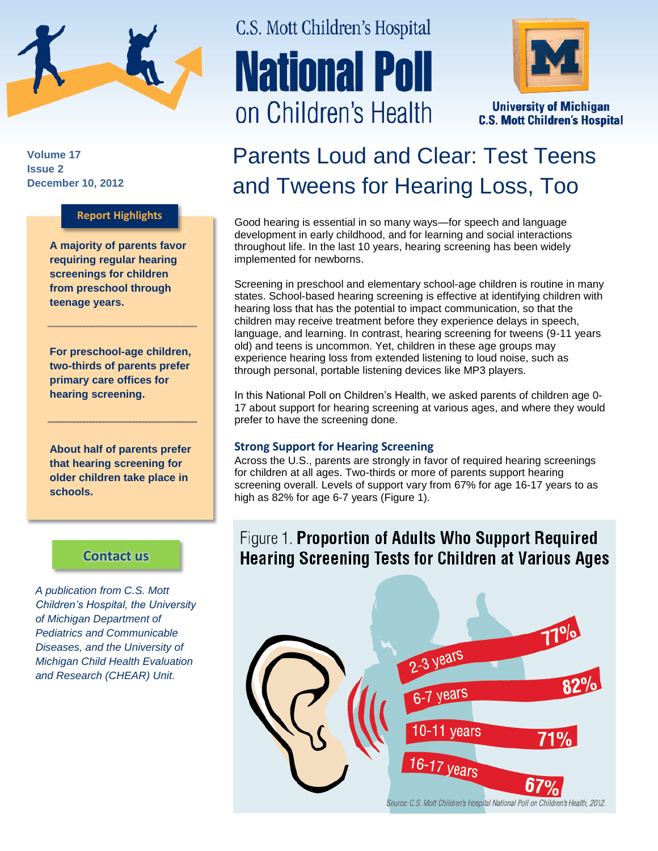

**Volume 17 Issue 2 December 10, 2012**

### **Report Highlights**

**A majority of parents favor requiring regular hearing screenings for children from preschool through teenage years.** 

**For preschool-age children, two-thirds of parents prefer primary care offices for hearing screening.**

**About half of parents prefer that hearing screening for older children take place in schools.**

### **[Contact us](http://mottnpch.org/contact)**

*A publication from C.S. Mott Children's Hospital, the University of Michigan Department of Pediatrics and Communicable Diseases, and the University of Michigan Child Health Evaluation and Research (CHEAR) Unit.*

# C.S. Mott Children's Hospital **National Poll** on Children's Health



**University of Michigan C.S. Mott Children's Hospital** 

## Parents Loud and Clear: Test Teens and Tweens for Hearing Loss, Too

Good hearing is essential in so many ways—for speech and language development in early childhood, and for learning and social interactions throughout life. In the last 10 years, hearing screening has been widely implemented for newborns.

Screening in preschool and elementary school-age children is routine in many states. School-based hearing screening is effective at identifying children with hearing loss that has the potential to impact communication, so that the children may receive treatment before they experience delays in speech, language, and learning. In contrast, hearing screening for tweens (9-11 years old) and teens is uncommon. Yet, children in these age groups may experience hearing loss from extended listening to loud noise, such as through personal, portable listening devices like MP3 players.

In this National Poll on Children's Health, we asked parents of children age 0- 17 about support for hearing screening at various ages, and where they would prefer to have the screening done.

### **Strong Support for Hearing Screening**

Across the U.S., parents are strongly in favor of required hearing screenings for children at all ages. Two-thirds or more of parents support hearing screening overall. Levels of support vary from 67% for age 16-17 years to as high as 82% for age 6-7 years (Figure 1).

### Figure 1. Proportion of Adults Who Support Required **Hearing Screening Tests for Children at Various Ages**